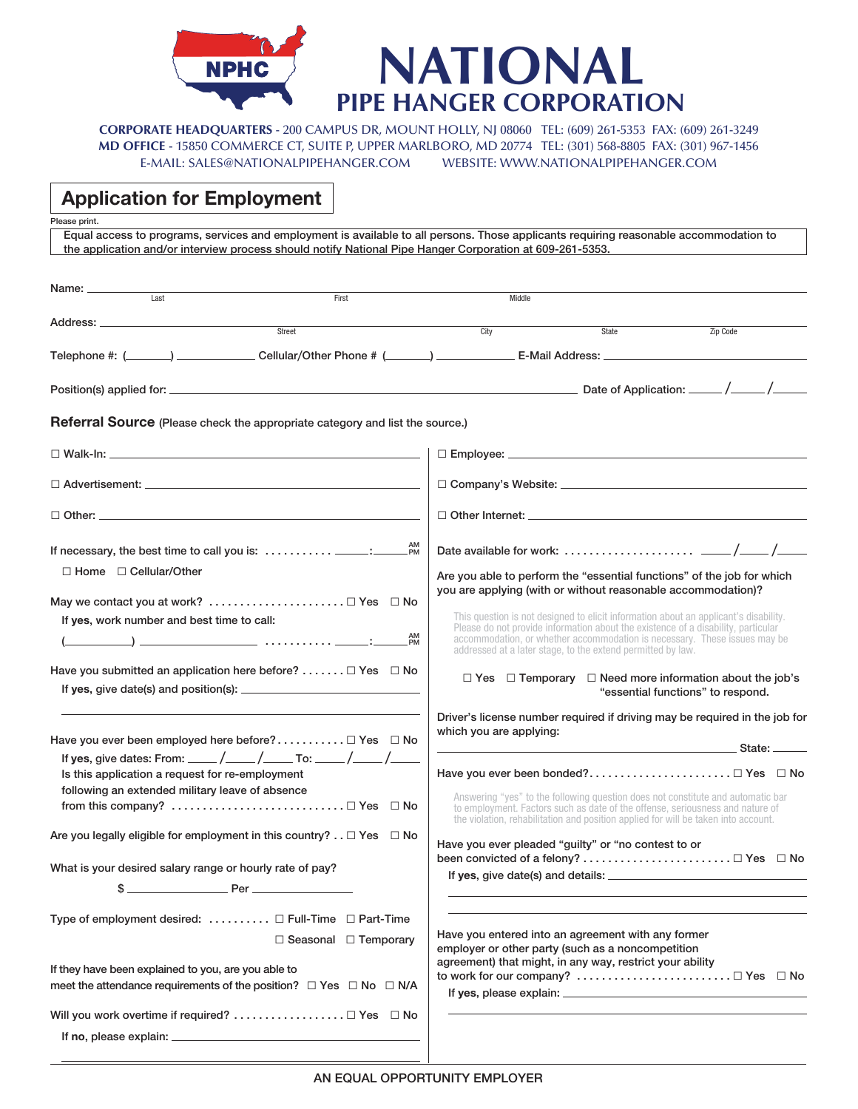

E-MAIL: SALES@NATIONALPIPEHANGER.COM WEBSITE: WWW.NATIONALPIPEHANGER.COM **CORPORATE HEADQUARTERS** - 200 CAMPUS DR, MOUNT HOLLY, NJ 08060 TEL: (609) 261-5353 FAX: (609) 261-3249 **MD OFFICE** - 15850 COMMERCE CT, SUITE P, UPPER MARLBORO, MD 20774 TEL: (301) 568-8805 FAX: (301) 967-1456

## **Application for Employment**

**Please print.**

**Equal access to programs, services and employment is available to all persons. Those applicants requiring reasonable accommodation to the application and/or interview process should notify National Pipe Hanger Corporation at 609-261-5353.**

| Name: __________<br>Last                                                                           |                                  |                         |                                                                                                                                                                                                                                                        |          |
|----------------------------------------------------------------------------------------------------|----------------------------------|-------------------------|--------------------------------------------------------------------------------------------------------------------------------------------------------------------------------------------------------------------------------------------------------|----------|
|                                                                                                    | First                            | Middle                  |                                                                                                                                                                                                                                                        |          |
| Street                                                                                             |                                  | City                    | State                                                                                                                                                                                                                                                  | Zip Code |
|                                                                                                    |                                  |                         |                                                                                                                                                                                                                                                        |          |
|                                                                                                    |                                  |                         |                                                                                                                                                                                                                                                        |          |
|                                                                                                    |                                  |                         |                                                                                                                                                                                                                                                        |          |
| <b>Referral Source</b> (Please check the appropriate category and list the source.)                |                                  |                         |                                                                                                                                                                                                                                                        |          |
|                                                                                                    |                                  |                         |                                                                                                                                                                                                                                                        |          |
|                                                                                                    |                                  |                         |                                                                                                                                                                                                                                                        |          |
|                                                                                                    |                                  |                         |                                                                                                                                                                                                                                                        |          |
|                                                                                                    |                                  |                         |                                                                                                                                                                                                                                                        |          |
| $\Box$ Home $\Box$ Cellular/Other                                                                  |                                  |                         | Are you able to perform the "essential functions" of the job for which<br>you are applying (with or without reasonable accommodation)?                                                                                                                 |          |
| May we contact you at work?  □ Yes □ No                                                            |                                  |                         |                                                                                                                                                                                                                                                        |          |
| If yes, work number and best time to call:                                                         |                                  |                         | This question is not designed to elicit information about an applicant's disability.<br>Please do not provide information about the existence of a disability, particular                                                                              |          |
|                                                                                                    |                                  |                         | accommodation, or whether accommodation is necessary. These issues may be<br>addressed at a later stage, to the extend permitted by law.                                                                                                               |          |
| Have you submitted an application here before? $\Box$ Yes $\Box$ No                                |                                  |                         | $\Box$ Yes $\Box$ Temporary $\Box$ Need more information about the job's                                                                                                                                                                               |          |
|                                                                                                    |                                  |                         | "essential functions" to respond.                                                                                                                                                                                                                      |          |
|                                                                                                    |                                  | which you are applying: | Driver's license number required if driving may be required in the job for                                                                                                                                                                             |          |
| Have you ever been employed here before? $\Box$ Yes $\Box$ No                                      |                                  |                         | <u> State: Expanding State: Expanding State: Expanding State: Expanding State: Expanding State: Expanding State: E</u>                                                                                                                                 |          |
|                                                                                                    |                                  |                         |                                                                                                                                                                                                                                                        |          |
| Is this application a request for re-employment<br>following an extended military leave of absence |                                  |                         |                                                                                                                                                                                                                                                        |          |
|                                                                                                    |                                  |                         | Answering "yes" to the following question does not constitute and automatic bar<br>to employment. Factors such as date of the offense, seriousness and nature of<br>the violation, rehabilitation and position applied for will be taken into account. |          |
| Are you legally eligible for employment in this country? $\ldots \Box$ Yes $\Box$ No               |                                  |                         | Have you ever pleaded "guilty" or "no contest to or                                                                                                                                                                                                    |          |
| What is your desired salary range or hourly rate of pay?                                           |                                  |                         |                                                                                                                                                                                                                                                        |          |
| $s$ Per                                                                                            |                                  |                         |                                                                                                                                                                                                                                                        |          |
| Type of employment desired: $\dots \dots \dots \square$ Full-Time $\square$ Part-Time              |                                  |                         |                                                                                                                                                                                                                                                        |          |
|                                                                                                    | $\Box$ Seasonal $\Box$ Temporary |                         | Have you entered into an agreement with any former                                                                                                                                                                                                     |          |
|                                                                                                    |                                  |                         | employer or other party (such as a noncompetition<br>agreement) that might, in any way, restrict your ability                                                                                                                                          |          |
| If they have been explained to you, are you able to                                                |                                  |                         |                                                                                                                                                                                                                                                        |          |
| meet the attendance requirements of the position? $\Box$ Yes $\Box$ No $\Box$ N/A                  |                                  |                         |                                                                                                                                                                                                                                                        |          |
|                                                                                                    |                                  |                         |                                                                                                                                                                                                                                                        |          |
|                                                                                                    |                                  |                         |                                                                                                                                                                                                                                                        |          |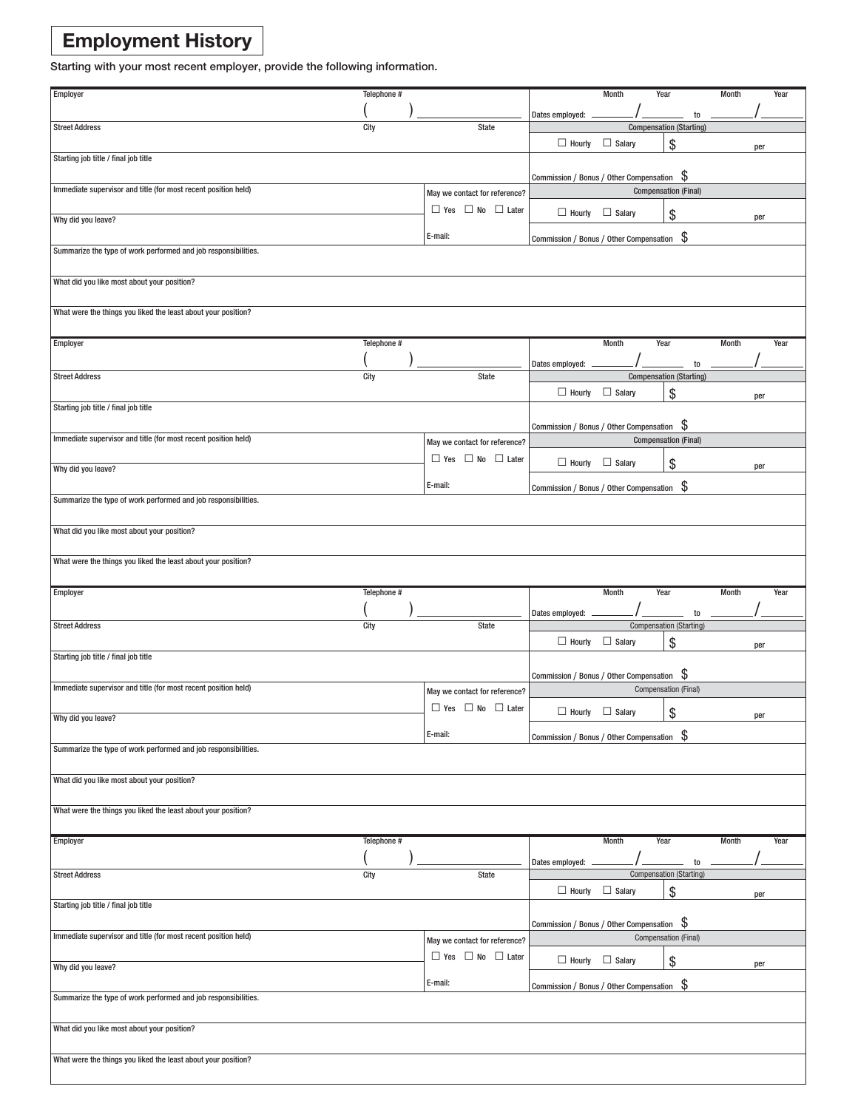# **Employment History**

**Starting with your most recent employer, provide the following information.**

| Employer                                                       | Telephone # |                                   |                                            | Month         | Year                        |                                      | Month        |     | Year |
|----------------------------------------------------------------|-------------|-----------------------------------|--------------------------------------------|---------------|-----------------------------|--------------------------------------|--------------|-----|------|
|                                                                |             |                                   |                                            |               |                             |                                      |              |     |      |
|                                                                |             |                                   | Dates employed:                            |               |                             | to                                   |              |     |      |
| <b>Street Address</b>                                          | City        | State                             |                                            |               |                             | <b>Compensation (Starting)</b>       |              |     |      |
|                                                                |             |                                   | $\Box$ Hourly                              | $\Box$ Salary | \$                          |                                      |              | per |      |
| Starting job title / final job title                           |             |                                   |                                            |               |                             |                                      |              |     |      |
|                                                                |             |                                   | Commission / Bonus / Other Compensation \$ |               |                             |                                      |              |     |      |
| Immediate supervisor and title (for most recent position held) |             |                                   |                                            |               | <b>Compensation (Final)</b> |                                      |              |     |      |
|                                                                |             | May we contact for reference?     |                                            |               |                             |                                      |              |     |      |
|                                                                |             | $\Box$ Yes $\Box$ No $\Box$ Later | $\Box$ Hourly                              | $\Box$ Salary | \$                          |                                      |              | per |      |
| Why did you leave?                                             |             |                                   |                                            |               |                             |                                      |              |     |      |
|                                                                |             | E-mail:                           | Commission / Bonus / Other Compensation    |               |                             | - \$                                 |              |     |      |
| Summarize the type of work performed and job responsibilities. |             |                                   |                                            |               |                             |                                      |              |     |      |
|                                                                |             |                                   |                                            |               |                             |                                      |              |     |      |
| What did you like most about your position?                    |             |                                   |                                            |               |                             |                                      |              |     |      |
|                                                                |             |                                   |                                            |               |                             |                                      |              |     |      |
|                                                                |             |                                   |                                            |               |                             |                                      |              |     |      |
| What were the things you liked the least about your position?  |             |                                   |                                            |               |                             |                                      |              |     |      |
|                                                                |             |                                   |                                            |               |                             |                                      |              |     |      |
| <b>Employer</b>                                                | Telephone # |                                   |                                            | Month         | Year                        |                                      | <b>Month</b> |     | Year |
|                                                                |             |                                   |                                            |               |                             |                                      |              |     |      |
| <b>Street Address</b>                                          | City        | <b>State</b>                      | Dates employed:                            |               |                             | to<br><b>Compensation (Starting)</b> |              |     |      |
|                                                                |             |                                   |                                            |               |                             |                                      |              |     |      |
|                                                                |             |                                   | $\Box$ Hourly                              | $\Box$ Salary | \$                          |                                      |              | per |      |
| Starting job title / final job title                           |             |                                   |                                            |               |                             |                                      |              |     |      |
|                                                                |             |                                   | Commission / Bonus / Other Compensation \$ |               |                             |                                      |              |     |      |
| Immediate supervisor and title (for most recent position held) |             |                                   |                                            |               | <b>Compensation (Final)</b> |                                      |              |     |      |
|                                                                |             | May we contact for reference?     |                                            |               |                             |                                      |              |     |      |
|                                                                |             | $\Box$ Yes $\Box$ No $\Box$ Later | $\Box$ Hourly                              | $\Box$ Salary | \$                          |                                      |              | per |      |
| Why did you leave?                                             |             |                                   |                                            |               |                             |                                      |              |     |      |
|                                                                |             | E-mail:                           | Commission / Bonus / Other Compensation \$ |               |                             |                                      |              |     |      |
| Summarize the type of work performed and job responsibilities. |             |                                   |                                            |               |                             |                                      |              |     |      |
|                                                                |             |                                   |                                            |               |                             |                                      |              |     |      |
| What did you like most about your position?                    |             |                                   |                                            |               |                             |                                      |              |     |      |
|                                                                |             |                                   |                                            |               |                             |                                      |              |     |      |
|                                                                |             |                                   |                                            |               |                             |                                      |              |     |      |
| What were the things you liked the least about your position?  |             |                                   |                                            |               |                             |                                      |              |     |      |
|                                                                |             |                                   |                                            |               |                             |                                      |              |     |      |
|                                                                |             |                                   |                                            |               |                             |                                      |              |     |      |
| Employer                                                       | Telephone # |                                   |                                            | Month         | Year                        |                                      | Month        |     | Year |
|                                                                |             |                                   |                                            |               |                             |                                      |              |     |      |
|                                                                |             |                                   | Dates employed:                            |               |                             | to                                   |              |     |      |
| <b>Street Address</b>                                          | City        | <b>State</b>                      |                                            |               |                             | <b>Compensation (Starting)</b>       |              |     |      |
|                                                                |             |                                   | $\Box$ Hourly                              | $\Box$ Salary | \$                          |                                      |              | per |      |
| Starting job title / final job title                           |             |                                   |                                            |               |                             |                                      |              |     |      |
|                                                                |             |                                   |                                            |               |                             |                                      |              |     |      |
| Immediate supervisor and title (for most recent position held) |             |                                   | Commission / Bonus / Other Compensation \$ |               |                             |                                      |              |     |      |
|                                                                |             | May we contact for reference?     |                                            |               | <b>Compensation (Final)</b> |                                      |              |     |      |
|                                                                |             | $\Box$ Yes $\Box$ No $\Box$ Later | $\Box$ Hourly $\Box$ Salary                |               |                             |                                      |              | per |      |
| Why did you leave?                                             |             |                                   |                                            |               |                             | \$                                   |              |     |      |
|                                                                |             | E-mail:                           | Commission / Bonus / Other Compensation \$ |               |                             |                                      |              |     |      |
| Summarize the type of work performed and job responsibilities. |             |                                   |                                            |               |                             |                                      |              |     |      |
|                                                                |             |                                   |                                            |               |                             |                                      |              |     |      |
|                                                                |             |                                   |                                            |               |                             |                                      |              |     |      |
| What did you like most about your position?                    |             |                                   |                                            |               |                             |                                      |              |     |      |
|                                                                |             |                                   |                                            |               |                             |                                      |              |     |      |
| What were the things you liked the least about your position?  |             |                                   |                                            |               |                             |                                      |              |     |      |
|                                                                |             |                                   |                                            |               |                             |                                      |              |     |      |
| Employer                                                       | Telephone # |                                   |                                            | <b>Month</b>  | Year                        |                                      | <b>Month</b> |     | Year |
|                                                                |             |                                   |                                            |               |                             |                                      |              |     |      |
|                                                                |             |                                   | Dates employed:                            |               |                             | to                                   |              |     |      |
| <b>Street Address</b>                                          | City        | <b>State</b>                      |                                            |               |                             | <b>Compensation (Starting)</b>       |              |     |      |
|                                                                |             |                                   | $\Box$ Hourly                              | $\Box$ Salary | \$                          |                                      |              | per |      |
| Starting job title / final job title                           |             |                                   |                                            |               |                             |                                      |              |     |      |
|                                                                |             |                                   |                                            |               |                             |                                      |              |     |      |
| Immediate supervisor and title (for most recent position held) |             |                                   | Commission / Bonus / Other Compensation \$ |               | Compensation (Final)        |                                      |              |     |      |
|                                                                |             | May we contact for reference?     |                                            |               |                             |                                      |              |     |      |
|                                                                |             | $\Box$ Yes $\Box$ No $\Box$ Later | $\Box$ Hourly $\Box$ Salary                |               | \$                          |                                      |              | per |      |
| Why did you leave?                                             |             |                                   |                                            |               |                             |                                      |              |     |      |
|                                                                |             | E-mail:                           | Commission / Bonus / Other Compensation \$ |               |                             |                                      |              |     |      |
| Summarize the type of work performed and job responsibilities. |             |                                   |                                            |               |                             |                                      |              |     |      |
|                                                                |             |                                   |                                            |               |                             |                                      |              |     |      |
| What did you like most about your position?                    |             |                                   |                                            |               |                             |                                      |              |     |      |
|                                                                |             |                                   |                                            |               |                             |                                      |              |     |      |
|                                                                |             |                                   |                                            |               |                             |                                      |              |     |      |
| What were the things you liked the least about your position?  |             |                                   |                                            |               |                             |                                      |              |     |      |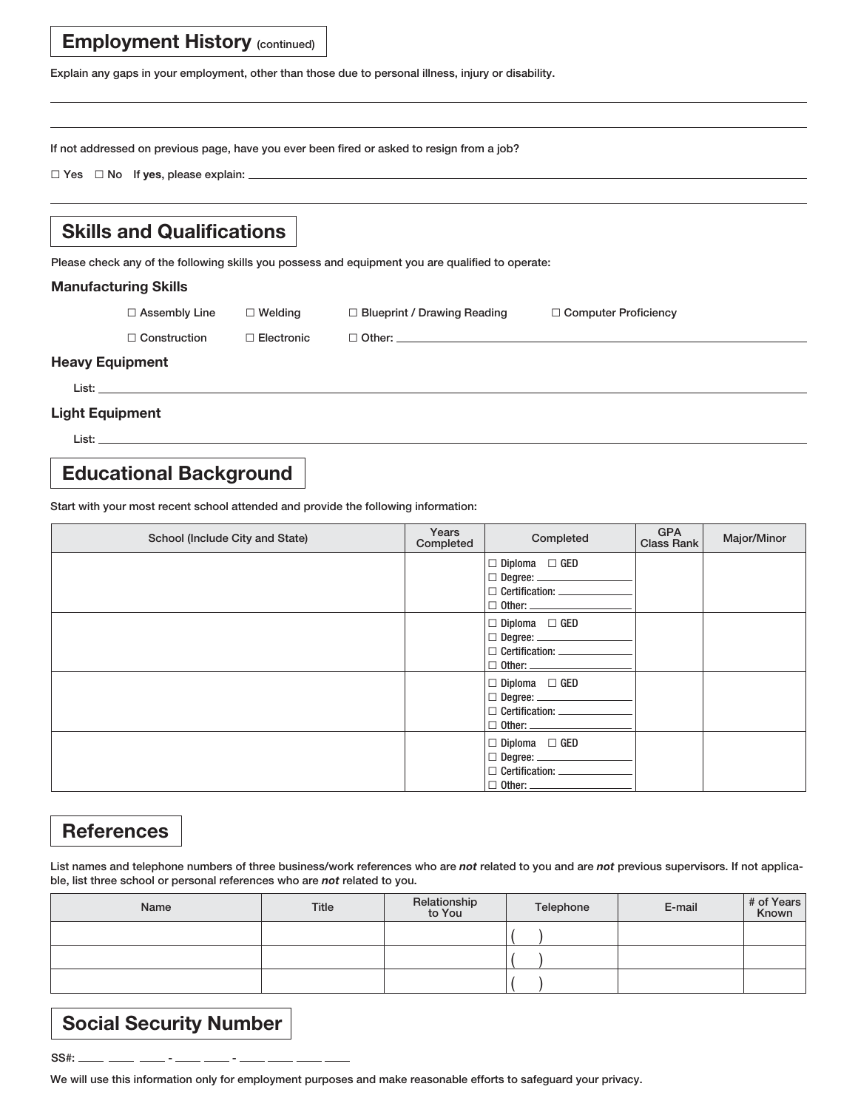### **Employment History (continued)**

**Explain any gaps in your employment, other than those due to personal illness, injury or disability.**

**If not addressed on previous page, have you ever been fired or asked to resign from a job?**

□ **Yes** □ **No If yes, please explain:** 

### **Skills and Qualifications**

**Please check any of the following skills you possess and equipment you are qualified to operate:**

#### **Manufacturing Skills**

□ **Assembly Line** □ **Welding** □ **Blueprint / Drawing Reading** □ **Computer Proficiency**

□ **Construction** □ **Electronic** □ **Other:** 

#### **Heavy Equipment**

 **List:** 

#### **Light Equipment**

 **List:** 

### **Educational Background**

**Start with your most recent school attended and provide the following information:**

| School (Include City and State) | Years<br>Completed | Completed                                                                                                                                 | <b>GPA</b><br><b>Class Rank</b> | Major/Minor |
|---------------------------------|--------------------|-------------------------------------------------------------------------------------------------------------------------------------------|---------------------------------|-------------|
|                                 |                    | $\Box$ Diploma $\Box$ GED<br>$\Box$ Degree: $\_\_\_\_\_\_\_\_\_\_\_$<br>□ Certification: <u>■ ■ Certification</u><br>$\Box$ Other: $\_\_$ |                                 |             |
|                                 |                    | $\Box$ Diploma $\Box$ GED<br>D Certification: ____________<br>$\Box$ Other: $\_\_$                                                        |                                 |             |
|                                 |                    | $\Box$ Diploma $\Box$ GED<br>$\Box$ Other: $\_\_$                                                                                         |                                 |             |
|                                 |                    | $\Box$ Diploma $\Box$ GED<br>□ Certification: <u>■ ■ Certification</u><br>$\Box$ Other: $\Box$                                            |                                 |             |

### **References**

**List names and telephone numbers of three business/work references who are** *not* **related to you and are** *not* **previous supervisors. If not applicable, list three school or personal references who are** *not* **related to you.** 

| Name | <b>Title</b> | Relationship<br>to You | Telephone | E-mail | # of Years |
|------|--------------|------------------------|-----------|--------|------------|
|      |              |                        |           |        |            |
|      |              |                        |           |        |            |
|      |              |                        |           |        |            |

## **Social Security Number**

**SS#: - -** 

**We will use this information only for employment purposes and make reasonable efforts to safeguard your privacy.**